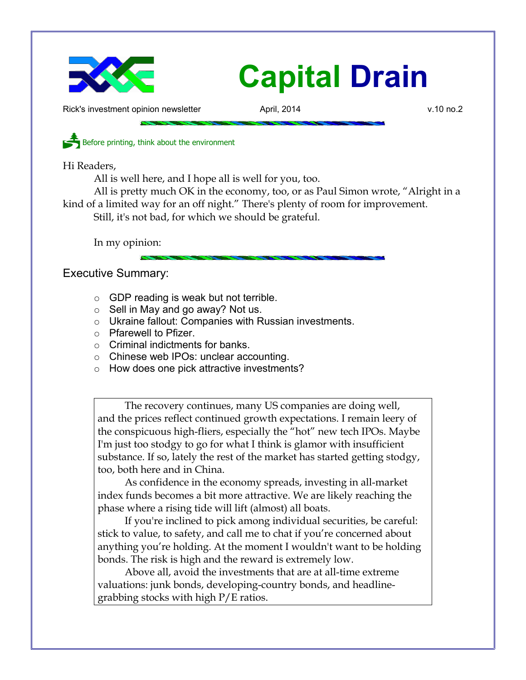

Rick's investment opinion newsletter **April, 2014** v.10 no.2

Before printing, think about the environment

Hi Readers,

All is well here, and I hope all is well for you, too.

All is pretty much OK in the economy, too, or as Paul Simon wrote, "Alright in a kind of a limited way for an off night." There's plenty of room for improvement. Still, it's not bad, for which we should be grateful.

In my opinion:

Executive Summary:

- GDP reading is weak but not terrible.
- $\circ$  Sell in May and go away? Not us.
- Ukraine fallout: Companies with Russian investments.
- Pfarewell to Pfizer.
- $\circ$  Criminal indictments for banks.
- Chinese web IPOs: unclear accounting.
- How does one pick attractive investments?

The recovery continues, many US companies are doing well, and the prices reflect continued growth expectations. I remain leery of the conspicuous high-fliers, especially the "hot" new tech IPOs. Maybe I'm just too stodgy to go for what I think is glamor with insufficient substance. If so, lately the rest of the market has started getting stodgy, too, both here and in China.

As confidence in the economy spreads, investing in all-market index funds becomes a bit more attractive. We are likely reaching the phase where a rising tide will lift (almost) all boats.

If you're inclined to pick among individual securities, be careful: stick to value, to safety, and call me to chat if you're concerned about anything you're holding. At the moment I wouldn't want to be holding bonds. The risk is high and the reward is extremely low.

Above all, avoid the investments that are at all-time extreme valuations: junk bonds, developing-country bonds, and headlinegrabbing stocks with high P/E ratios.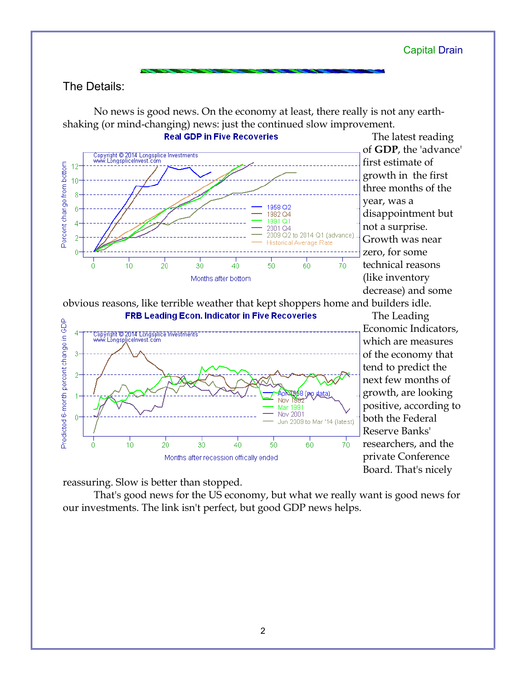## The Details:

No news is good news. On the economy at least, there really is not any earthshaking (or mind-changing) news: just the continued slow improvement.



The latest reading of **GDP**, the 'advance' first estimate of growth in the first three months of the year, was a disappointment but not a surprise. Growth was near zero, for some technical reasons (like inventory decrease) and some

obvious reasons, like terrible weather that kept shoppers home and builders idle.



The Leading Economic Indicators, which are measures of the economy that tend to predict the next few months of growth, are looking positive, according to both the Federal Reserve Banks' researchers, and the private Conference Board. That's nicely

reassuring. Slow is better than stopped.

That's good news for the US economy, but what we really want is good news for our investments. The link isn't perfect, but good GDP news helps.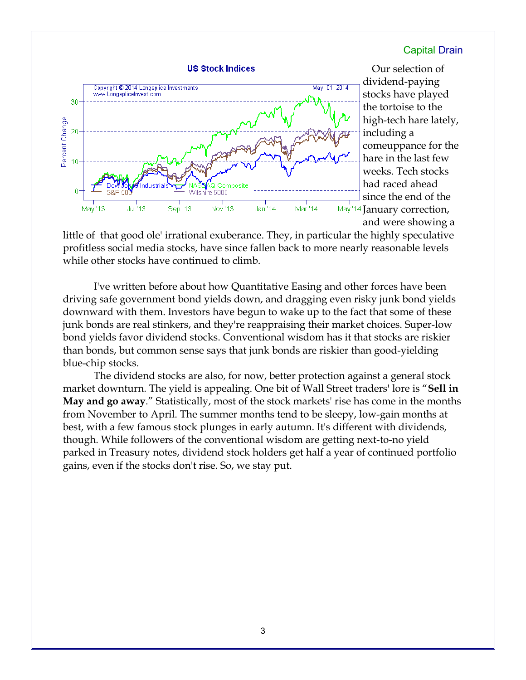

Our selection of dividend-paying stocks have played the tortoise to the high-tech hare lately, including a comeuppance for the hare in the last few weeks. Tech stocks had raced ahead since the end of the May '14 January correction, and were showing a

little of that good ole' irrational exuberance. They, in particular the highly speculative profitless social media stocks, have since fallen back to more nearly reasonable levels while other stocks have continued to climb.

I've written before about how Quantitative Easing and other forces have been driving safe government bond yields down, and dragging even risky junk bond yields downward with them. Investors have begun to wake up to the fact that some of these junk bonds are real stinkers, and they're reappraising their market choices. Super-low bond yields favor dividend stocks. Conventional wisdom has it that stocks are riskier than bonds, but common sense says that junk bonds are riskier than good-yielding blue-chip stocks.

The dividend stocks are also, for now, better protection against a general stock market downturn. The yield is appealing. One bit of Wall Street traders' lore is "**Sell in May and go away**." Statistically, most of the stock markets' rise has come in the months from November to April. The summer months tend to be sleepy, low-gain months at best, with a few famous stock plunges in early autumn. It's different with dividends, though. While followers of the conventional wisdom are getting next-to-no yield parked in Treasury notes, dividend stock holders get half a year of continued portfolio gains, even if the stocks don't rise. So, we stay put.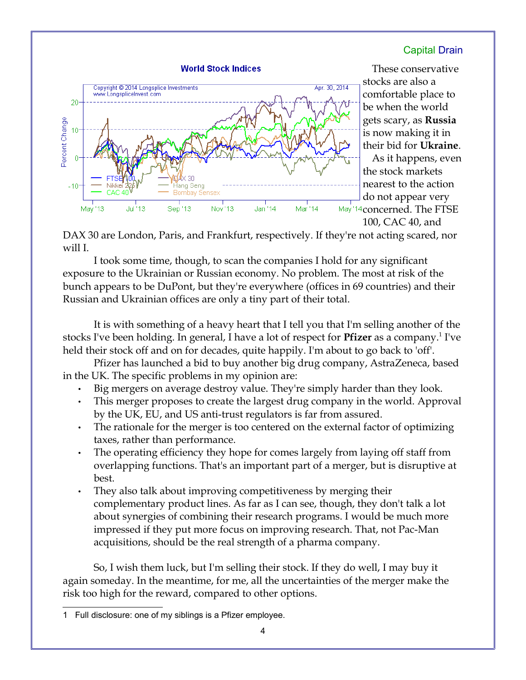

These conservative stocks are also a comfortable place to be when the world gets scary, as **Russia** is now making it in their bid for **Ukraine**. As it happens, even the stock markets nearest to the action do not appear very May '14 concerned. The FTSE

100, CAC 40, and

DAX 30 are London, Paris, and Frankfurt, respectively. If they're not acting scared, nor will I.

I took some time, though, to scan the companies I hold for any significant exposure to the Ukrainian or Russian economy. No problem. The most at risk of the bunch appears to be DuPont, but they're everywhere (offices in 69 countries) and their Russian and Ukrainian offices are only a tiny part of their total.

It is with something of a heavy heart that I tell you that I'm selling another of the stocks I've been holding. In general, I have a lot of respect for **Pfizer** as a company.<sup>[1](#page-3-0)</sup> I've held their stock off and on for decades, quite happily. I'm about to go back to 'off'.

Pfizer has launched a bid to buy another big drug company, AstraZeneca, based in the UK. The specific problems in my opinion are:

- Big mergers on average destroy value. They're simply harder than they look.
- This merger proposes to create the largest drug company in the world. Approval by the UK, EU, and US anti-trust regulators is far from assured.
- The rationale for the merger is too centered on the external factor of optimizing taxes, rather than performance.
- The operating efficiency they hope for comes largely from laying off staff from overlapping functions. That's an important part of a merger, but is disruptive at best.
- They also talk about improving competitiveness by merging their complementary product lines. As far as I can see, though, they don't talk a lot about synergies of combining their research programs. I would be much more impressed if they put more focus on improving research. That, not Pac-Man acquisitions, should be the real strength of a pharma company.

So, I wish them luck, but I'm selling their stock. If they do well, I may buy it again someday. In the meantime, for me, all the uncertainties of the merger make the risk too high for the reward, compared to other options.

<span id="page-3-0"></span><sup>1</sup> Full disclosure: one of my siblings is a Pfizer employee.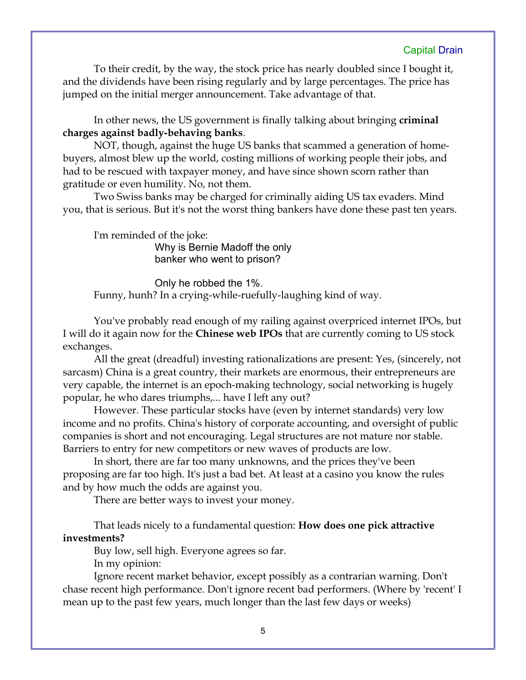To their credit, by the way, the stock price has nearly doubled since I bought it, and the dividends have been rising regularly and by large percentages. The price has jumped on the initial merger announcement. Take advantage of that.

In other news, the US government is finally talking about bringing **criminal charges against badly-behaving banks**.

NOT, though, against the huge US banks that scammed a generation of homebuyers, almost blew up the world, costing millions of working people their jobs, and had to be rescued with taxpayer money, and have since shown scorn rather than gratitude or even humility. No, not them.

Two Swiss banks may be charged for criminally aiding US tax evaders. Mind you, that is serious. But it's not the worst thing bankers have done these past ten years.

I'm reminded of the joke:

Why is Bernie Madoff the only banker who went to prison?

Only he robbed the 1%. Funny, hunh? In a crying-while-ruefully-laughing kind of way.

You've probably read enough of my railing against overpriced internet IPOs, but I will do it again now for the **Chinese web IPOs** that are currently coming to US stock exchanges.

All the great (dreadful) investing rationalizations are present: Yes, (sincerely, not sarcasm) China is a great country, their markets are enormous, their entrepreneurs are very capable, the internet is an epoch-making technology, social networking is hugely popular, he who dares triumphs,... have I left any out?

However. These particular stocks have (even by internet standards) very low income and no profits. China's history of corporate accounting, and oversight of public companies is short and not encouraging. Legal structures are not mature nor stable. Barriers to entry for new competitors or new waves of products are low.

In short, there are far too many unknowns, and the prices they've been proposing are far too high. It's just a bad bet. At least at a casino you know the rules and by how much the odds are against you.

There are better ways to invest your money.

That leads nicely to a fundamental question: **How does one pick attractive investments?**

Buy low, sell high. Everyone agrees so far.

In my opinion:

Ignore recent market behavior, except possibly as a contrarian warning. Don't chase recent high performance. Don't ignore recent bad performers. (Where by 'recent' I mean up to the past few years, much longer than the last few days or weeks)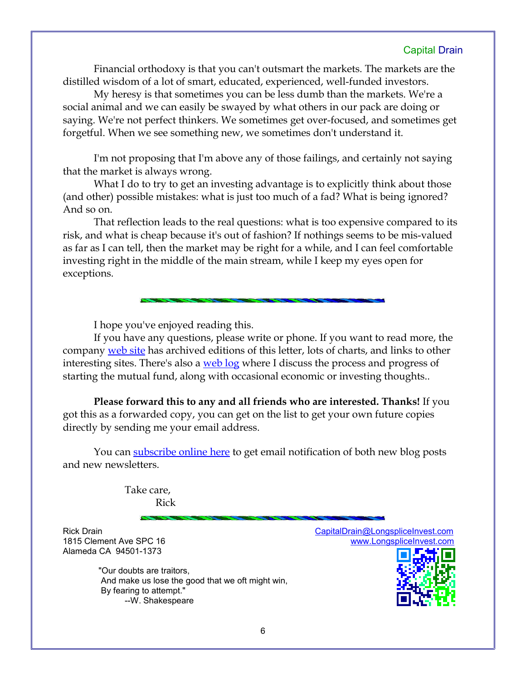Financial orthodoxy is that you can't outsmart the markets. The markets are the distilled wisdom of a lot of smart, educated, experienced, well-funded investors.

My heresy is that sometimes you can be less dumb than the markets. We're a social animal and we can easily be swayed by what others in our pack are doing or saying. We're not perfect thinkers. We sometimes get over-focused, and sometimes get forgetful. When we see something new, we sometimes don't understand it.

I'm not proposing that I'm above any of those failings, and certainly not saying that the market is always wrong.

What I do to try to get an investing advantage is to explicitly think about those (and other) possible mistakes: what is just too much of a fad? What is being ignored? And so on.

That reflection leads to the real questions: what is too expensive compared to its risk, and what is cheap because it's out of fashion? If nothings seems to be mis-valued as far as I can tell, then the market may be right for a while, and I can feel comfortable investing right in the middle of the main stream, while I keep my eyes open for exceptions.

I hope you've enjoyed reading this.

If you have any questions, please write or phone. If you want to read more, the company [web site](http://www.LongspliceInvest.com/newsletter.shtml) has archived editions of this letter, lots of charts, and links to other interesting sites. There's also a [web log](http://www.LongspliceInvestments.com/ricksblog) where I discuss the process and progress of starting the mutual fund, along with occasional economic or investing thoughts..

**Please forward this to any and all friends who are interested. Thanks!** If you got this as a forwarded copy, you can get on the list to get your own future copies directly by sending me your email address.

You can [subscribe online here](http://www.longspliceinvest.com/ricksblog/subscribe/) to get email notification of both new blog posts and new newsletters.

> Take care, Rick

Rick Drain CapitalDrain **CapitalDrain @LongspliceInvest.com** Alameda CA 94501-1373

 "Our doubts are traitors, And make us lose the good that we oft might win, By fearing to attempt." --W. Shakespeare